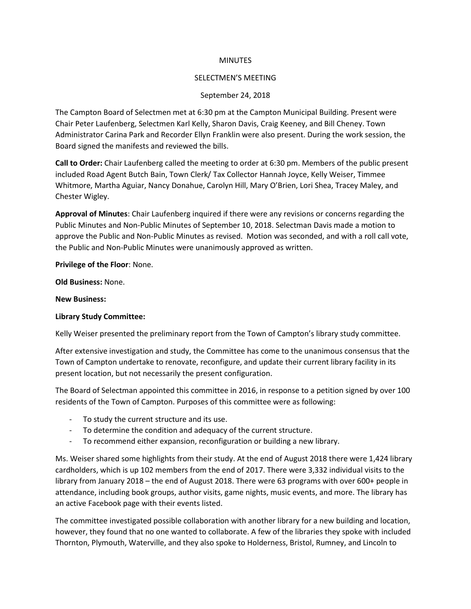#### **MINUTES**

### SELECTMEN'S MEETING

## September 24, 2018

The Campton Board of Selectmen met at 6:30 pm at the Campton Municipal Building. Present were Chair Peter Laufenberg, Selectmen Karl Kelly, Sharon Davis, Craig Keeney, and Bill Cheney. Town Administrator Carina Park and Recorder Ellyn Franklin were also present. During the work session, the Board signed the manifests and reviewed the bills.

**Call to Order:** Chair Laufenberg called the meeting to order at 6:30 pm. Members of the public present included Road Agent Butch Bain, Town Clerk/ Tax Collector Hannah Joyce, Kelly Weiser, Timmee Whitmore, Martha Aguiar, Nancy Donahue, Carolyn Hill, Mary O'Brien, Lori Shea, Tracey Maley, and Chester Wigley.

**Approval of Minutes**: Chair Laufenberg inquired if there were any revisions or concerns regarding the Public Minutes and Non-Public Minutes of September 10, 2018. Selectman Davis made a motion to approve the Public and Non-Public Minutes as revised. Motion was seconded, and with a roll call vote, the Public and Non-Public Minutes were unanimously approved as written.

### **Privilege of the Floor**: None.

**Old Business:** None.

#### **New Business:**

#### **Library Study Committee:**

Kelly Weiser presented the preliminary report from the Town of Campton's library study committee.

After extensive investigation and study, the Committee has come to the unanimous consensus that the Town of Campton undertake to renovate, reconfigure, and update their current library facility in its present location, but not necessarily the present configuration.

The Board of Selectman appointed this committee in 2016, in response to a petition signed by over 100 residents of the Town of Campton. Purposes of this committee were as following:

- To study the current structure and its use.
- To determine the condition and adequacy of the current structure.
- To recommend either expansion, reconfiguration or building a new library.

Ms. Weiser shared some highlights from their study. At the end of August 2018 there were 1,424 library cardholders, which is up 102 members from the end of 2017. There were 3,332 individual visits to the library from January 2018 – the end of August 2018. There were 63 programs with over 600+ people in attendance, including book groups, author visits, game nights, music events, and more. The library has an active Facebook page with their events listed.

The committee investigated possible collaboration with another library for a new building and location, however, they found that no one wanted to collaborate. A few of the libraries they spoke with included Thornton, Plymouth, Waterville, and they also spoke to Holderness, Bristol, Rumney, and Lincoln to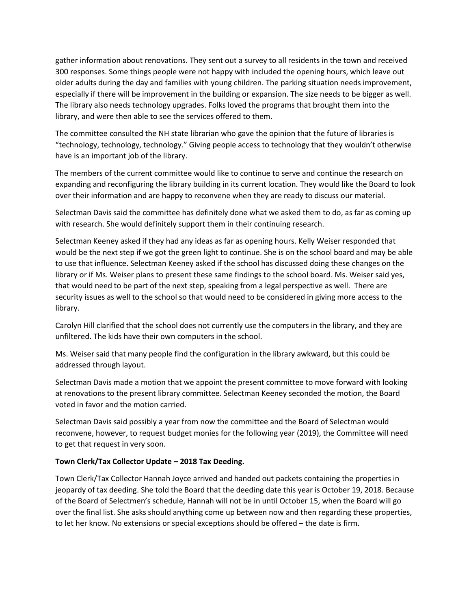gather information about renovations. They sent out a survey to all residents in the town and received 300 responses. Some things people were not happy with included the opening hours, which leave out older adults during the day and families with young children. The parking situation needs improvement, especially if there will be improvement in the building or expansion. The size needs to be bigger as well. The library also needs technology upgrades. Folks loved the programs that brought them into the library, and were then able to see the services offered to them.

The committee consulted the NH state librarian who gave the opinion that the future of libraries is "technology, technology, technology." Giving people access to technology that they wouldn't otherwise have is an important job of the library.

The members of the current committee would like to continue to serve and continue the research on expanding and reconfiguring the library building in its current location. They would like the Board to look over their information and are happy to reconvene when they are ready to discuss our material.

Selectman Davis said the committee has definitely done what we asked them to do, as far as coming up with research. She would definitely support them in their continuing research.

Selectman Keeney asked if they had any ideas as far as opening hours. Kelly Weiser responded that would be the next step if we got the green light to continue. She is on the school board and may be able to use that influence. Selectman Keeney asked if the school has discussed doing these changes on the library or if Ms. Weiser plans to present these same findings to the school board. Ms. Weiser said yes, that would need to be part of the next step, speaking from a legal perspective as well. There are security issues as well to the school so that would need to be considered in giving more access to the library.

Carolyn Hill clarified that the school does not currently use the computers in the library, and they are unfiltered. The kids have their own computers in the school.

Ms. Weiser said that many people find the configuration in the library awkward, but this could be addressed through layout.

Selectman Davis made a motion that we appoint the present committee to move forward with looking at renovations to the present library committee. Selectman Keeney seconded the motion, the Board voted in favor and the motion carried.

Selectman Davis said possibly a year from now the committee and the Board of Selectman would reconvene, however, to request budget monies for the following year (2019), the Committee will need to get that request in very soon.

## **Town Clerk/Tax Collector Update – 2018 Tax Deeding.**

Town Clerk/Tax Collector Hannah Joyce arrived and handed out packets containing the properties in jeopardy of tax deeding. She told the Board that the deeding date this year is October 19, 2018. Because of the Board of Selectmen's schedule, Hannah will not be in until October 15, when the Board will go over the final list. She asks should anything come up between now and then regarding these properties, to let her know. No extensions or special exceptions should be offered – the date is firm.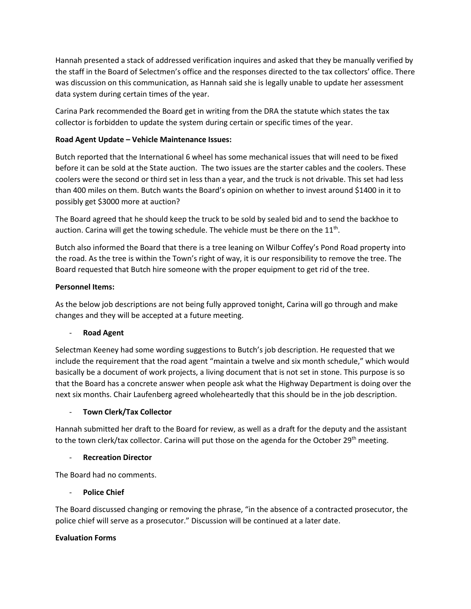Hannah presented a stack of addressed verification inquires and asked that they be manually verified by the staff in the Board of Selectmen's office and the responses directed to the tax collectors' office. There was discussion on this communication, as Hannah said she is legally unable to update her assessment data system during certain times of the year.

Carina Park recommended the Board get in writing from the DRA the statute which states the tax collector is forbidden to update the system during certain or specific times of the year.

# **Road Agent Update – Vehicle Maintenance Issues:**

Butch reported that the International 6 wheel has some mechanical issues that will need to be fixed before it can be sold at the State auction. The two issues are the starter cables and the coolers. These coolers were the second or third set in less than a year, and the truck is not drivable. This set had less than 400 miles on them. Butch wants the Board's opinion on whether to invest around \$1400 in it to possibly get \$3000 more at auction?

The Board agreed that he should keep the truck to be sold by sealed bid and to send the backhoe to auction. Carina will get the towing schedule. The vehicle must be there on the  $11<sup>th</sup>$ .

Butch also informed the Board that there is a tree leaning on Wilbur Coffey's Pond Road property into the road. As the tree is within the Town's right of way, it is our responsibility to remove the tree. The Board requested that Butch hire someone with the proper equipment to get rid of the tree.

## **Personnel Items:**

As the below job descriptions are not being fully approved tonight, Carina will go through and make changes and they will be accepted at a future meeting.

# - **Road Agent**

Selectman Keeney had some wording suggestions to Butch's job description. He requested that we include the requirement that the road agent "maintain a twelve and six month schedule," which would basically be a document of work projects, a living document that is not set in stone. This purpose is so that the Board has a concrete answer when people ask what the Highway Department is doing over the next six months. Chair Laufenberg agreed wholeheartedly that this should be in the job description.

# - **Town Clerk/Tax Collector**

Hannah submitted her draft to the Board for review, as well as a draft for the deputy and the assistant to the town clerk/tax collector. Carina will put those on the agenda for the October 29<sup>th</sup> meeting.

## - **Recreation Director**

The Board had no comments.

# **Police Chief**

The Board discussed changing or removing the phrase, "in the absence of a contracted prosecutor, the police chief will serve as a prosecutor." Discussion will be continued at a later date.

## **Evaluation Forms**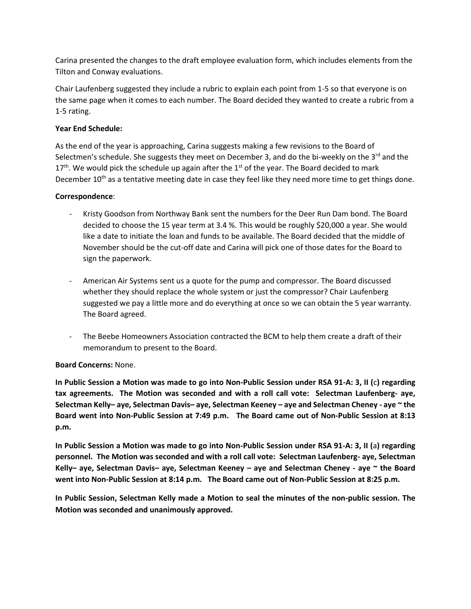Carina presented the changes to the draft employee evaluation form, which includes elements from the Tilton and Conway evaluations.

Chair Laufenberg suggested they include a rubric to explain each point from 1-5 so that everyone is on the same page when it comes to each number. The Board decided they wanted to create a rubric from a 1-5 rating.

## **Year End Schedule:**

As the end of the year is approaching, Carina suggests making a few revisions to the Board of Selectmen's schedule. She suggests they meet on December 3, and do the bi-weekly on the  $3^{rd}$  and the  $17<sup>th</sup>$ . We would pick the schedule up again after the  $1<sup>st</sup>$  of the year. The Board decided to mark December  $10<sup>th</sup>$  as a tentative meeting date in case they feel like they need more time to get things done.

## **Correspondence**:

- Kristy Goodson from Northway Bank sent the numbers for the Deer Run Dam bond. The Board decided to choose the 15 year term at 3.4 %. This would be roughly \$20,000 a year. She would like a date to initiate the loan and funds to be available. The Board decided that the middle of November should be the cut-off date and Carina will pick one of those dates for the Board to sign the paperwork.
- American Air Systems sent us a quote for the pump and compressor. The Board discussed whether they should replace the whole system or just the compressor? Chair Laufenberg suggested we pay a little more and do everything at once so we can obtain the 5 year warranty. The Board agreed.
- The Beebe Homeowners Association contracted the BCM to help them create a draft of their memorandum to present to the Board.

## **Board Concerns:** None.

**In Public Session a Motion was made to go into Non-Public Session under RSA 91-A: 3, II (**c**) regarding tax agreements. The Motion was seconded and with a roll call vote: Selectman Laufenberg- aye, Selectman Kelly– aye, Selectman Davis– aye, Selectman Keeney – aye and Selectman Cheney - aye ~ the Board went into Non-Public Session at 7:49 p.m. The Board came out of Non-Public Session at 8:13 p.m.**

**In Public Session a Motion was made to go into Non-Public Session under RSA 91-A: 3, II (**a**) regarding personnel. The Motion was seconded and with a roll call vote: Selectman Laufenberg- aye, Selectman Kelly– aye, Selectman Davis– aye, Selectman Keeney – aye and Selectman Cheney - aye ~ the Board went into Non-Public Session at 8:14 p.m. The Board came out of Non-Public Session at 8:25 p.m.**

**In Public Session, Selectman Kelly made a Motion to seal the minutes of the non-public session. The Motion was seconded and unanimously approved.**